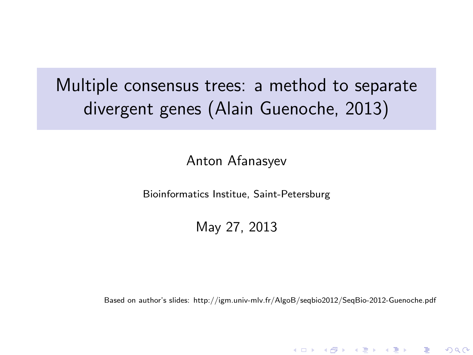# Multiple consensus trees: a method to separate divergent genes (Alain Guenoche, 2013)

#### Anton Afanasyev

Bioinformatics Institue, Saint-Petersburg

May 27, 2013

Based on author's slides: http://igm.univ-mlv.fr/AlgoB/seqbio2012/SeqBio-2012-Guenoche.pdf

K ロ K K @ K K X B K K B K ( B K )

 $299$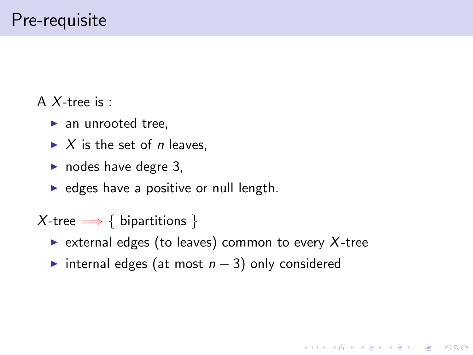A X-tree is :

- $\blacktriangleright$  an unrooted tree.
- $\triangleright$  X is the set of *n* leaves.
- $\triangleright$  nodes have degre 3,
- $\triangleright$  edges have a positive or null length.

 $X$ -tree  $\Longrightarrow$  { bipartitions }

 $\triangleright$  external edges (to leaves) common to every X-tree

**KORK ERKER ADE YOUR** 

 $\triangleright$  internal edges (at most  $n-3$ ) only considered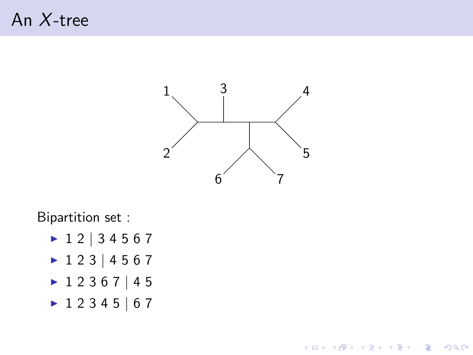# An X-tree



K ロ > K @ > K 할 > K 할 > 1 할 : ⊙ Q Q^

Bipartition set :

- $\blacktriangleright$  1 2 | 3 4 5 6 7
- $\blacktriangleright$  123 | 4567
- $\blacktriangleright$  12367 | 45
- $\blacktriangleright$  1 2 3 4 5 | 6 7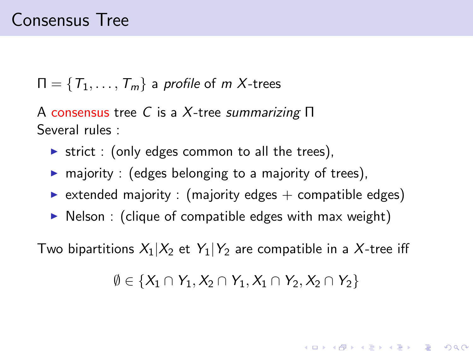$$
\Pi = \{T_1, \ldots, T_m\} \text{ a profile of } m \times \text{trees}
$$

A consensus tree C is a X-tree summarizing Π Several rules :

- $\triangleright$  strict : (only edges common to all the trees),
- $\triangleright$  majority : (edges belonging to a majority of trees),
- $\triangleright$  extended majority : (majority edges + compatible edges)
- $\triangleright$  Nelson : (clique of compatible edges with max weight)

Two bipartitions  $X_1|X_2$  et  $Y_1|Y_2$  are compatible in a X-tree iff

 $\emptyset \in \{X_1 \cap Y_1, X_2 \cap Y_1, X_1 \cap Y_2, X_2 \cap Y_2\}$ 

4 D > 4 P + 4 B + 4 B + B + 9 Q O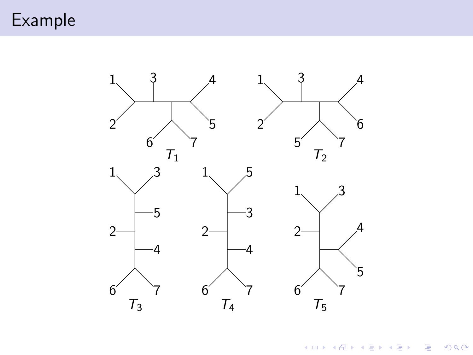# Example



K ロ × K 御 × K 差 × K 差 × 一差 …  $299$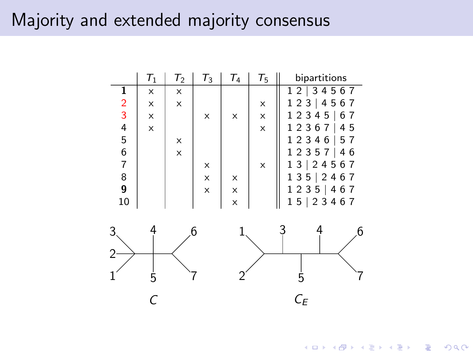# Majority and extended majority consensus

|                                                 | $\tau_{\scriptscriptstyle 1}$ | $T_2$    | $T_3$                     | $T_4$                     | $T_5$                 | bipartitions               |
|-------------------------------------------------|-------------------------------|----------|---------------------------|---------------------------|-----------------------|----------------------------|
| 1                                               | X                             | X        |                           |                           |                       | $\overline{12}$   34567    |
|                                                 | X                             | X        |                           |                           | X                     | 123   4567                 |
| $\begin{array}{c} 2 \\ 3 \\ 4 \\ 5 \end{array}$ | X                             |          | ×                         | X                         | $\boldsymbol{\times}$ | 12345   67                 |
|                                                 | X                             |          |                           |                           | X                     | 12367<br>45                |
|                                                 |                               | ×        |                           |                           |                       | 12346 57                   |
|                                                 |                               | $\times$ |                           |                           |                       | 12357   46                 |
| $\begin{array}{c} 6 \\ 7 \\ 8 \end{array}$      |                               |          | $\boldsymbol{\mathsf{x}}$ |                           | X                     | 13 24 567                  |
|                                                 |                               |          | X                         | X                         |                       | 135   2467                 |
| 9                                               |                               |          | $\times$                  | $\boldsymbol{\mathsf{x}}$ |                       | 1235   467                 |
| 10                                              |                               |          |                           | X                         |                       | 15   23467                 |
|                                                 |                               |          |                           |                           |                       |                            |
| 3                                               |                               |          |                           |                           |                       | 6                          |
| 2                                               |                               |          |                           |                           |                       |                            |
|                                                 |                               |          |                           |                           |                       |                            |
|                                                 | 5                             |          |                           |                           |                       | 5                          |
|                                                 |                               |          |                           |                           |                       | $\mathcal{C}_{\mathsf{E}}$ |

K ロ ▶ K @ ▶ K 할 ▶ K 할 ▶ | 할 | ⊙Q @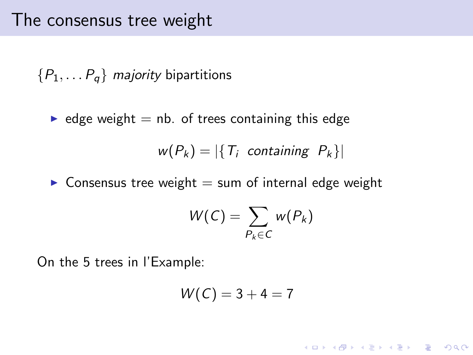$\{P_1, \ldots, P_q\}$  majority bipartitions

 $\triangleright$  edge weight = nb. of trees containing this edge

 $w(P_k) = |\{T_i \text{ containing } P_k\}|$ 

 $\triangleright$  Consensus tree weight = sum of internal edge weight

$$
W(C)=\sum_{P_k\in C}w(P_k)
$$

On the 5 trees in l'Example:

$$
W(C) = 3 + 4 = 7
$$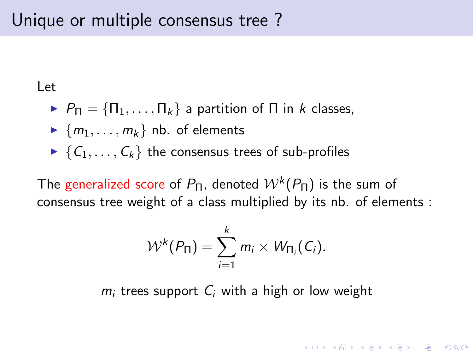#### Let

- $\blacktriangleright$   $P_{\Pi} = {\Pi_1, \ldots, \Pi_k}$  a partition of  $\Pi$  in k classes,
- $\blacktriangleright$   $\{m_1, \ldots, m_k\}$  nb. of elements
- $\blacktriangleright \{C_1, \ldots, C_k\}$  the consensus trees of sub-profiles

The generalized score of  $P_{\Pi}$ , denoted  $\mathcal{W}^k(P_{\Pi})$  is the sum of consensus tree weight of a class multiplied by its nb. of elements :

$$
W^{k}(P_{\Pi})=\sum_{i=1}^{k}m_{i}\times W_{\Pi_{i}}(C_{i}).
$$

 $m_i$  trees support  $C_i$  with a high or low weight

**KORKAR KERKER E VOOR**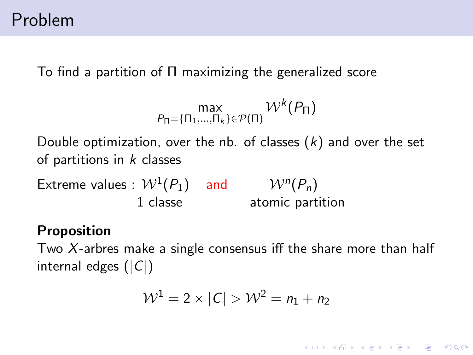### Problem

To find a partition of Π maximizing the generalized score

$$
\max_{P_{\Pi}=\{\Pi_1,\dots,\Pi_k\}\in \mathcal{P}(\Pi)}\mathcal{W}^k(P_{\Pi})
$$

Double optimization, over the nb. of classes  $(k)$  and over the set of partitions in  $k$  classes

Extreme values :  $W^1(P_1)$  and  $W^n(P_n)$ 1 classe atomic partition

### Proposition

Two X-arbres make a single consensus iff the share more than half internal edges  $(|C|)$ 

$$
\mathcal{W}^1 = 2 \times |C| > \mathcal{W}^2 = n_1 + n_2
$$

**K ロ X (日) X 제공 X 제공 X 기능 등 10 이익이**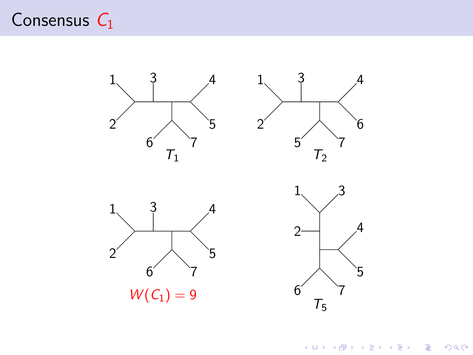# Consensus  $C_1$









K ロ ▶ K @ ▶ K 할 ▶ K 할 ▶ ... 할 ... 900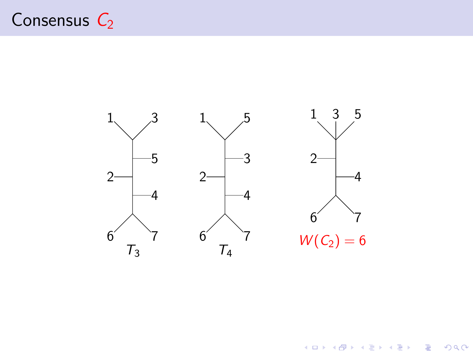



K ロ X イロ X K ミ X K ミ X ミ → S V C Y C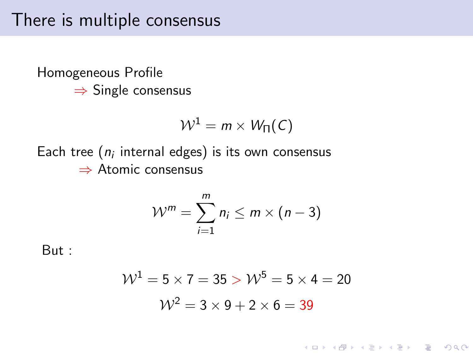### There is multiple consensus

Homogeneous Profile  $\Rightarrow$  Single consensus

$$
\mathcal{W}^1 = m \times W_{\Pi}(C)
$$

Each tree  $(n_i$  internal edges) is its own consensus ⇒ Atomic consensus

$$
W^m = \sum_{i=1}^m n_i \le m \times (n-3)
$$

But :

$$
\mathcal{W}^1 = 5 \times 7 = 35 > \mathcal{W}^5 = 5 \times 4 = 20
$$

$$
\mathcal{W}^2 = 3 \times 9 + 2 \times 6 = 39
$$

**K ロ X (日) X 제공 X 제공 X 기능 등 10 이익이**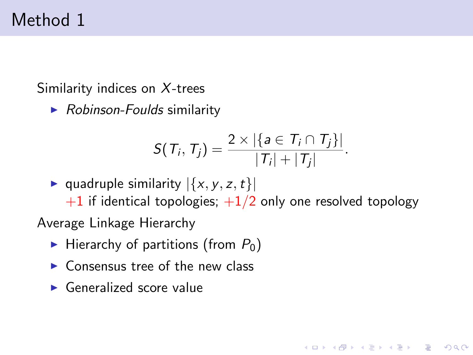# Method 1

Similarity indices on X-trees

 $\triangleright$  Robinson-Foulds similarity

$$
S(\mathcal{T}_i,\mathcal{T}_j)=\frac{2\times|\{a\in\mathcal{T}_i\cap\mathcal{T}_j\}|}{|\mathcal{T}_i|+|\mathcal{T}_j|}.
$$

**KORK ERKER ADE YOUR** 

- quadruple similarity  $|\{x, y, z, t\}|$  $+1$  if identical topologies;  $+1/2$  only one resolved topology Average Linkage Hierarchy
	- $\blacktriangleright$  Hierarchy of partitions (from  $P_0$ )
	- $\triangleright$  Consensus tree of the new class
	- $\blacktriangleright$  Generalized score value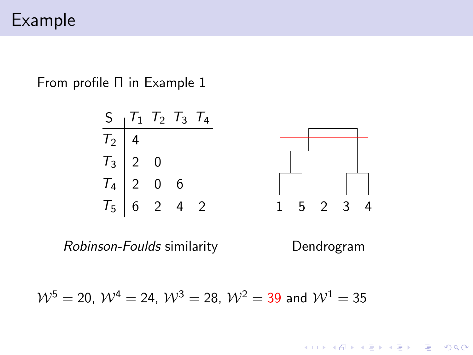# Example

From profile Π in Example 1

|  | $\begin{array}{c c}\nT_2 & 4 \\ \hline\nT_3 & 2 & 0\n\end{array}$ | $T_4$ 2 0 6 | $S_1$ $T_1$ $T_2$ $T_3$ $T_4$<br>$T_5$   6 2 4 2 |  | $\mathbf{1}$ |  | $5 \t2 \t3 \t4$ |
|--|-------------------------------------------------------------------|-------------|--------------------------------------------------|--|--------------|--|-----------------|

Robinson-Foulds similarity **Dendrogram** 

 $W^5 = 20$ ,  $W^4 = 24$ ,  $W^3 = 28$ ,  $W^2 = 39$  and  $W^1 = 35$ 

KO KKOK KEK KEK LE I KORO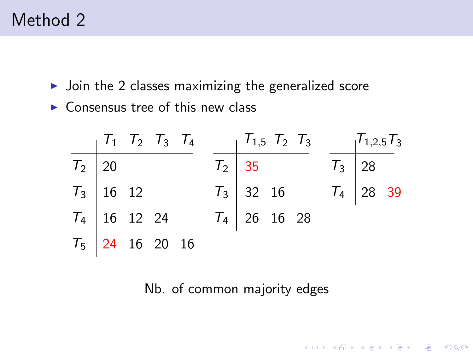# Method 2

- $\triangleright$  Join the 2 classes maximizing the generalized score
- $\triangleright$  Consensus tree of this new class

|                                                                                                     |  | $T_1$ $T_2$ $T_3$ $T_4$ |                                                                               |                |  | $T_{1,5}$ $T_2$ $T_3$ $T_{1,2,5}$ $T_3$                                      |  |
|-----------------------------------------------------------------------------------------------------|--|-------------------------|-------------------------------------------------------------------------------|----------------|--|------------------------------------------------------------------------------|--|
|                                                                                                     |  |                         |                                                                               |                |  | $\begin{array}{c c}\n\hline\nT_3 & 28 \\ \hline\nT_4 & 28 & 39\n\end{array}$ |  |
| $\begin{array}{c cc}\n\hline\nT_2 & 20 \\ T_3 & 16 & 12 \\ \hline\nT_4 & 16 & 12 & 24\n\end{array}$ |  |                         | $\begin{array}{c cc}\n\hline\nT_2 & 35 \\ \hline\nT_3 & 32 & 16\n\end{array}$ |                |  |                                                                              |  |
|                                                                                                     |  |                         |                                                                               | $T_4$ 26 16 28 |  |                                                                              |  |
| $T_5$ 24 16 20 16                                                                                   |  |                         |                                                                               |                |  |                                                                              |  |

Nb. of common majority edges

K ロ ▶ K @ ▶ K 할 ▶ K 할 ▶ 이 할 → 9 Q @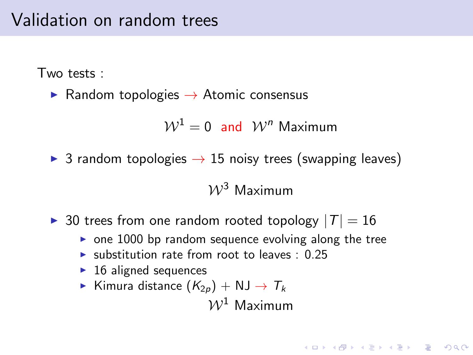# Validation on random trees

Two tests :

► Random topologies  $\rightarrow$  Atomic consensus

 $W^1 = 0$  and  $W^n$  Maximum

 $\triangleright$  3 random topologies  $\rightarrow$  15 noisy trees (swapping leaves)

 $W^3$  Maximum

- ▶ 30 trees from one random rooted topology  $|T| = 16$ 
	- $\triangleright$  one 1000 bp random sequence evolving along the tree
	- ▶ substitution rate from root to leaves  $: 0.25$
	- $\blacktriangleright$  16 aligned sequences
	- ► Kimura distance  $(K_{2p}) + NJ \rightarrow T_k$

 $W^1$  Maximum

4 D > 4 P + 4 B + 4 B + B + 9 Q O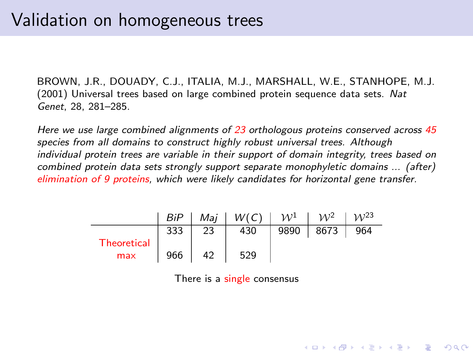BROWN, J.R., DOUADY, C.J., ITALIA, M.J., MARSHALL, W.E., STANHOPE, M.J. (2001) Universal trees based on large combined protein sequence data sets. Nat Genet, 28, 281–285.

Here we use large combined alignments of 23 orthologous proteins conserved across 45 species from all domains to construct highly robust universal trees. Although individual protein trees are variable in their support of domain integrity, trees based on combined protein data sets strongly support separate monophyletic domains ... (after) elimination of 9 proteins, which were likely candidates for horizontal gene transfer.

|                    |     |    | BiP   Maj   $W(C)$   $W^1$   $W^2$ |      |            | $\mathcal{W}^{23}$ |
|--------------------|-----|----|------------------------------------|------|------------|--------------------|
|                    | 333 | 23 | 430                                | 9890 | 8673   964 |                    |
| <b>Theoretical</b> |     |    |                                    |      |            |                    |
| max                | 966 | 42 | 529                                |      |            |                    |

There is a single consensus

**KORKA SERKER ORA**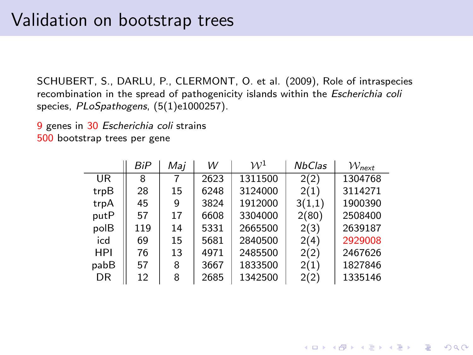SCHUBERT, S., DARLU, P., CLERMONT, O. et al. (2009), Role of intraspecies recombination in the spread of pathogenicity islands within the Escherichia coli species, PLoSpathogens, (5(1)e1000257).

9 genes in 30 Escherichia coli strains 500 bootstrap trees per gene

J.

|            | <b>BiP</b> | Mai | W    | $\mathcal{W}^1$ | <b>NbClas</b> | $W_{\text{next}}$ |
|------------|------------|-----|------|-----------------|---------------|-------------------|
| UR         | 8          | 7   | 2623 | 1311500         | 2(2)          | 1304768           |
| trpB       | 28         | 15  | 6248 | 3124000         | 2(1)          | 3114271           |
| trpA       | 45         | 9   | 3824 | 1912000         | 3(1,1)        | 1900390           |
| putP       | 57         | 17  | 6608 | 3304000         | 2(80)         | 2508400           |
| polB       | 119        | 14  | 5331 | 2665500         | 2(3)          | 2639187           |
| icd        | 69         | 15  | 5681 | 2840500         | 2(4)          | 2929008           |
| <b>HPI</b> | 76         | 13  | 4971 | 2485500         | 2(2)          | 2467626           |
| pabB       | 57         | 8   | 3667 | 1833500         | 2(1)          | 1827846           |
| DR         | 12         | 8   | 2685 | 1342500         | 2(2)          | 1335146           |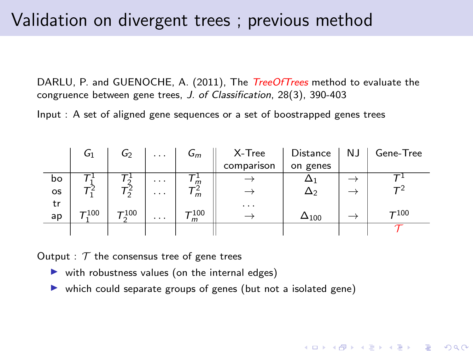# Validation on divergent trees ; previous method

DARLU, P. and GUENOCHE, A. (2011), The *TreeOfTrees* method to evaluate the congruence between gene trees, J. of Classification, 28(3), 390-403

Input : A set of aligned gene sequences or a set of boostrapped genes trees

|           | $G_1$ | $G_2$     | $\cdots$                | $G_m$           | X-Tree     | Distance       | NJ | Gene-Tree |
|-----------|-------|-----------|-------------------------|-----------------|------------|----------------|----|-----------|
|           |       |           |                         |                 | comparison | on genes       |    |           |
| bo        |       |           | $\cdot$ $\cdot$ $\cdot$ | $m$             |            |                |    |           |
| <b>OS</b> |       |           | $\cdots$                | $m$             |            | $\Delta_2$     |    |           |
| tr        |       |           |                         |                 | $\cdots$   |                |    |           |
| ap        | T100  | $T^{100}$ | $\cdots$                | $\tau$ 100<br>m |            | $\Delta_{100}$ |    | $T^{100}$ |
|           |       |           |                         |                 |            |                |    |           |

**KORKA SERKER ORA** 

Output :  $T$  the consensus tree of gene trees

- $\triangleright$  with robustness values (on the internal edges)
- ▶ which could separate groups of genes (but not a isolated gene)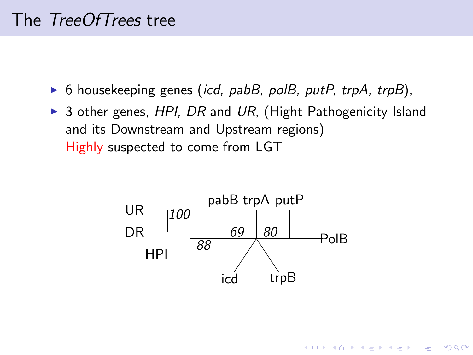# The TreeOfTrees tree

- ▶ 6 housekeeping genes (icd, pabB, polB, putP, trpA, trpB),
- $\triangleright$  3 other genes, HPI, DR and UR, (Hight Pathogenicity Island and its Downstream and Upstream regions) Highly suspected to come from LGT



 $\mathbf{C} = \mathbf{A} \oplus \mathbf{A} + \mathbf{C} \mathbf{B} + \mathbf{A} \oplus \mathbf{A} + \mathbf{A} \oplus \mathbf{A}$ 

 $2Q$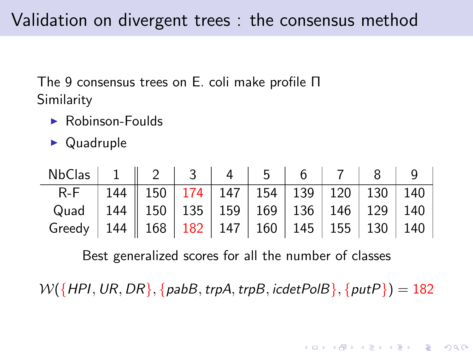The 9 consensus trees on E. coli make profile Π Similarity

- $\blacktriangleright$  Robinson-Foulds
- $\blacktriangleright$  Quadruple

| NbClas   1   2   3   4   5   6   7   8   9                   |  |  |  |  |  |
|--------------------------------------------------------------|--|--|--|--|--|
| R-F   144    150   174   147   154   139   120   130   140   |  |  |  |  |  |
| Quad   144   150   135   159   169   136   146   129   140   |  |  |  |  |  |
| Greedy   144   168   182   147   160   145   155   130   140 |  |  |  |  |  |

Best generalized scores for all the number of classes

 $W({$  {HPI, UR, DR}, {pabB, trpA, trpB, icdetPolB}, {putP}) = 182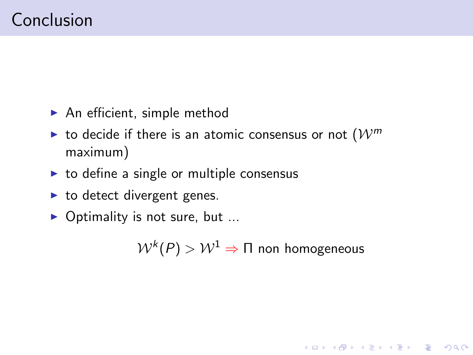- $\blacktriangleright$  An efficient, simple method
- ighthroof to decide if there is an atomic consensus or not  $(W^m)$ maximum)
- $\triangleright$  to define a single or multiple consensus
- $\blacktriangleright$  to detect divergent genes.
- ▶ Optimality is not sure, but  $\ldots$

 ${\mathcal W}^k(P)>{\mathcal W}^1 \Rightarrow \Pi$  non homogeneous

**K ロ X (日) X 제공 X 제공 X 기능 등 10 이익이**